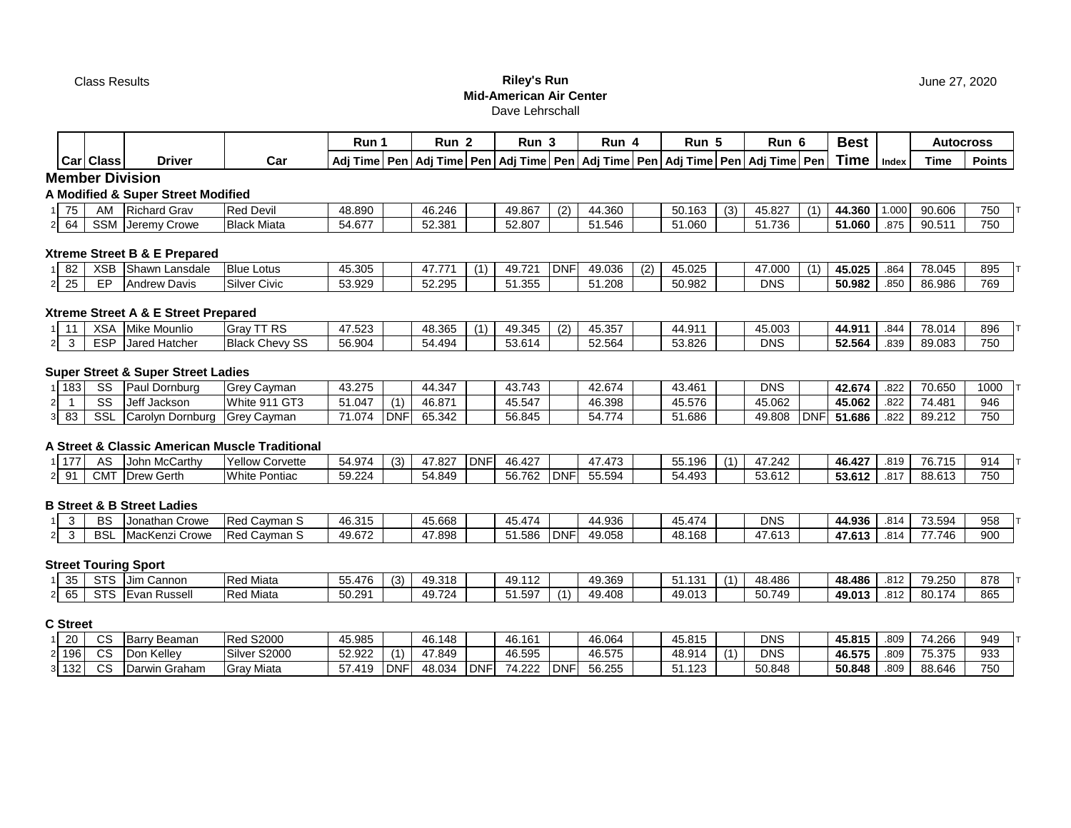### Class Results **Riley's Run Mid-American Air Center** Dave Lehrschall

|                   |                   |                                    |                    | Run 1  | Run 2  | Run 3  |            | Run 4  |     | Run 5                                                                                               |     | Run 6  | <b>Best</b> |              | Autocross |               |  |
|-------------------|-------------------|------------------------------------|--------------------|--------|--------|--------|------------|--------|-----|-----------------------------------------------------------------------------------------------------|-----|--------|-------------|--------------|-----------|---------------|--|
|                   | <b>Carl Class</b> | <b>Driver</b>                      | Car                |        |        |        |            |        |     | Adj Time   Pen   Adj Time   Pen   Adj Time   Pen   Adj Time   Pen   Adj Time   Pen   Adj Time   Pen |     |        | <b>Time</b> | <b>Index</b> | Time      | <b>Points</b> |  |
|                   |                   | <b>Member Division</b>             |                    |        |        |        |            |        |     |                                                                                                     |     |        |             |              |           |               |  |
|                   |                   | A Modified & Super Street Modified |                    |        |        |        |            |        |     |                                                                                                     |     |        |             |              |           |               |  |
| 75                | AM                | <b>Richard Grav</b>                | <b>Red Devil</b>   | 48.890 | 46.246 | 49.867 | (2)        | 44.360 |     | 50.163                                                                                              | (3) | 45.827 | 44.360      | .000         | 90.606    | 750           |  |
| 2 64              | <b>SSM</b>        | Jeremy Crowe                       | <b>Black Miata</b> | 54.677 | 52.381 | 52.807 |            | 51.546 |     | 51.060                                                                                              |     | 51.736 | 51.060      | .875         | 90.511    | 750           |  |
|                   |                   | Xtreme Street B & E Prepared       |                    |        |        |        |            |        |     |                                                                                                     |     |        |             |              |           |               |  |
| 82                | <b>XSB</b>        | Shawn Lansdale                     | <b>Blue Lotus</b>  | 45.305 | 47.771 | 49.721 | <b>DNF</b> | 49.036 | (2) | 45.025                                                                                              |     | 47.000 | 45.025      | .864         | 78.045    | 895           |  |
| $2 \overline{25}$ | EP                | Andrew Davis                       | Silver Civic       | 53.929 | 52.295 | 51.355 |            | 51.208 |     | 50.982                                                                                              |     | DNS    | 50.982      | .850         | 86.986    | 769           |  |

# **Xtreme Street A & E Street Prepared**

|  | $\sqrt{2}$<br>יכא | Mike Mounlio    | RS.<br>Grav                             | 7.523  | AB 3C<br>−∪.∪−              | $\mathbf{A}$ | 49.345                 | (2) | 15. 25.<br>$\mathbf{m}$<br>40.ວວາ       | $\sim$ $\sim$ $\sim$<br>∸<br>т. | 15.003     | 44.911 | .844 | 78.01  | 896 |
|--|-------------------|-----------------|-----------------------------------------|--------|-----------------------------|--------------|------------------------|-----|-----------------------------------------|---------------------------------|------------|--------|------|--------|-----|
|  | <b>ESP</b>        | ----<br>Hatchei | <b>Black</b><br>$\sim$<br>Chevy \<br>ັບ | 56.904 | 54.404<br>- <del>1. T</del> |              | <b>COM</b><br>14'0.5 ل |     | $\sim$ $\sim$ $\sim$ $\sim$<br>- 2.564- | 53.826                          | <b>DNS</b> | 52.564 | .839 | 89.083 | 750 |

### **Super Street & Super Street Ladies**

| 183 | $\sim$<br>تەت | ' Dornburg<br>∼פי | <b>IGrev</b><br>∵Cavman | 43.275 |                 | 44.347 | 43 743<br> | 42.674                  | 43.461 | <b>DNS</b> |            | 42.674 | 822 | 70.65                                  | 1000 |
|-----|---------------|-------------------|-------------------------|--------|-----------------|--------|------------|-------------------------|--------|------------|------------|--------|-----|----------------------------------------|------|
|     | $\sim$<br>ΟC  | Jeff<br>Jackson   | White 911 GT3           | 51.047 | $\cdot$         | 46.871 | 45.547     | 46.398                  | 45.576 | 45.062     |            | 45.062 | 822 | 4.48'<br>$\overline{ }$ $\overline{ }$ | 946  |
| ൦൦  | SS            | Dornbu<br>Carol∨n | <b>Grev</b><br>Cavman   | 71.074 | $\sim$<br>. UNF | 65.342 | 56.845     | $\rightarrow$<br>54.774 | 51.686 | 49.808     | <b>DNF</b> | 1.686  | 822 | 89.212                                 | 750  |

#### **A Street & Classic American Muscle Traditional**

| 177 | AC        | McCarthy<br>John                                 | $V_{\Omega}$<br>Corvette<br>7ellow          | 1 Q.Z<br>1. ت 1 -<br>$\cdot$ $\sim$ | -63) | -82، ، | I DNF | 46.427 |     | $1 - 0$ | $- -$<br>196<br><u></u><br>ັບ | .242<br>$\overline{\phantom{a}}$ | 46.427          | .819           | 70.74t<br>$\overline{\phantom{a}}$<br>. .<br>ν.ι | 914 |
|-----|-----------|--------------------------------------------------|---------------------------------------------|-------------------------------------|------|--------|-------|--------|-----|---------|-------------------------------|----------------------------------|-----------------|----------------|--------------------------------------------------|-----|
|     | ---<br>UΜ | $\overline{\phantom{a}}$<br>Gerth<br><b>Drew</b> | <b>M/hito</b><br>Pontiac<br><u>ו שיווני</u> | 59.224                              |      | 54.849 |       | 56.762 | DNI | 55.594  | 54.493                        | $F^{\alpha}$ $\alpha$<br>53.612  | 3.012<br>33.0TZ | $0.4 -$<br>.OI | 88.613                                           | 750 |

#### **B Street & B Street Ladies**

|  | DC.<br>Dú | ⊦Crowe<br>Jonathar              | ∣Red<br>Cavman S | $\sqrt{2}$<br>46.315<br>46. | 45.668                            | $\rightarrow$<br>474<br>־<br>TJ. TI | 4.936<br>,,,        | A7A<br>$\overline{a}$<br>45<br>. .<br>┭◡.┭. | <b>DNS</b>                 | 4.936،      | 814 | $\overline{\phantom{a}}$<br>: huz<br>ັບ.ບບ                            | 958 |
|--|-----------|---------------------------------|------------------|-----------------------------|-----------------------------------|-------------------------------------|---------------------|---------------------------------------------|----------------------------|-------------|-----|-----------------------------------------------------------------------|-----|
|  | <b>DC</b> | <b>TRA</b><br>'acKenz.<br>Crowe | Cavman S<br>IRed | 40.07<br>49.672             | 7.898<br>$\overline{\phantom{a}}$ | 586. ا                              | 49.058<br><b>DN</b> | $\overline{A}$<br>168<br>48<br>−т∪.         | $\sim$ $\sim$<br>.013<br>4 | 17.613<br>. | 814 | $\rightarrow$ $\rightarrow$ $\rightarrow$ $\rightarrow$ $\rightarrow$ | 900 |

# **Street Touring Sport**

| 35 <sub>1</sub> | $\sim$<br>313 | ำลnnon ∶<br>Jim C | <b>Red Miata</b> | 176<br>$- -$<br>55.47 | $\sim$<br>(3) | 49.318 | 49.112 | 19.369 | -<br>ັບເ<br>. | 48.486 | 48.486 | 012<br>∠ ا ه. | <b>70 250</b><br>v.Lu | 878 |  |
|-----------------|---------------|-------------------|------------------|-----------------------|---------------|--------|--------|--------|---------------|--------|--------|---------------|-----------------------|-----|--|
| 65              | STS           | Evan<br>Russell   | Miata<br>Red     | 50.291                |               | 49.724 | 1.597  | 49.408 | 49.013        | 50.749 | 49.013 | 040<br>∡ا 0.  | 80.17                 | 865 |  |

# **C Street**

| 20  | $\sim$<br>vc | ∴Barr<br>Beaman | S2000<br>Rea      | 45.985     |            | 46.148 |            | 46.161       |            | 46.064 | 45.815                                | <b>DNS</b> | 45.815 | .809 | 74.266                | 949 |
|-----|--------------|-----------------|-------------------|------------|------------|--------|------------|--------------|------------|--------|---------------------------------------|------------|--------|------|-----------------------|-----|
| 196 | $\sim$<br>vc | Don Kellev      | S2000<br>Silver   | 52.922     |            | 47.849 |            | 46.595       |            | 46.575 | $\overline{AB}$ Q <sub>1</sub><br>ט.ט | <b>DNS</b> | 46.575 | .809 | 75.275<br>. c 1 c . c | 933 |
| 132 | $\sim$<br>ັບ | Darwin Graham   | <b>Grav Miata</b> | 440<br>$-$ | <b>DNF</b> | 48.034 | <b>DNF</b> | 71000<br>. 4 | <b>DNF</b> | 56.255 | 123<br>◡ ៲.                           | 50.848     | 50.848 | .809 | 88.646                | 750 |

June 27, 2020

**Best Autocross**